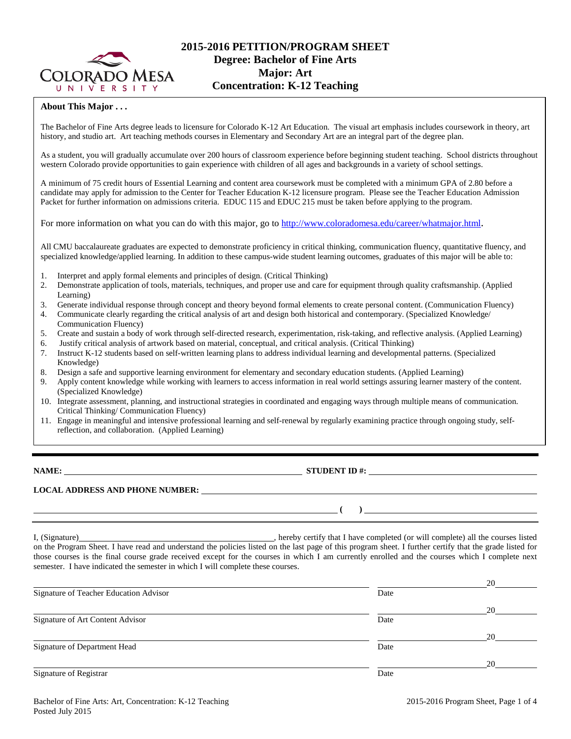

# **2015-2016 PETITION/PROGRAM SHEET Degree: Bachelor of Fine Arts Major: Art Concentration: K-12 Teaching**

#### **About This Major . . .**

The Bachelor of Fine Arts degree leads to licensure for Colorado K-12 Art Education. The visual art emphasis includes coursework in theory, art history, and studio art. Art teaching methods courses in Elementary and Secondary Art are an integral part of the degree plan.

As a student, you will gradually accumulate over 200 hours of classroom experience before beginning student teaching. School districts throughout western Colorado provide opportunities to gain experience with children of all ages and backgrounds in a variety of school settings.

A minimum of 75 credit hours of Essential Learning and content area coursework must be completed with a minimum GPA of 2.80 before a candidate may apply for admission to the Center for Teacher Education K-12 licensure program. Please see the Teacher Education Admission Packet for further information on admissions criteria. EDUC 115 and EDUC 215 must be taken before applying to the program.

For more information on what you can do with this major, go to [http://www.coloradomesa.edu/career/whatmajor.html.](http://www.coloradomesa.edu/career/whatmajor.html)

All CMU baccalaureate graduates are expected to demonstrate proficiency in critical thinking, communication fluency, quantitative fluency, and specialized knowledge/applied learning. In addition to these campus-wide student learning outcomes, graduates of this major will be able to:

- 1. Interpret and apply formal elements and principles of design. (Critical Thinking)
- 2. Demonstrate application of tools, materials, techniques, and proper use and care for equipment through quality craftsmanship. (Applied Learning)
- 3. Generate individual response through concept and theory beyond formal elements to create personal content. (Communication Fluency) 4. Communicate clearly regarding the critical analysis of art and design both historical and contemporary. (Specialized Knowledge/ Communication Fluency)
- 5. Create and sustain a body of work through self-directed research, experimentation, risk-taking, and reflective analysis. (Applied Learning)
- 6. Justify critical analysis of artwork based on material, conceptual, and critical analysis. (Critical Thinking)
- 7. Instruct K-12 students based on self-written learning plans to address individual learning and developmental patterns. (Specialized Knowledge)
- 8. Design a safe and supportive learning environment for elementary and secondary education students. (Applied Learning)
- 9. Apply content knowledge while working with learners to access information in real world settings assuring learner mastery of the content. (Specialized Knowledge)
- 10. Integrate assessment, planning, and instructional strategies in coordinated and engaging ways through multiple means of communication. Critical Thinking/ Communication Fluency)
- 11. Engage in meaningful and intensive professional learning and self-renewal by regularly examining practice through ongoing study, selfreflection, and collaboration. (Applied Learning)

**NAME: STUDENT ID #: STUDENT ID #: STUDENT ID #: STUDENT ID #: STUDENT ID #: STUDENT ID #: STUDENT ID #: STUDENT ID #: STUDENT ID #: STUDENT ID #: STUDENT ID #: STUDENT ID #: STUDENT ID #: STUDE** 

**( )** 

# **LOCAL ADDRESS AND PHONE NUMBER:**

I, (Signature) , hereby certify that I have completed (or will complete) all the courses listed on the Program Sheet. I have read and understand the policies listed on the last page of this program sheet. I further certify that the grade listed for those courses is the final course grade received except for the courses in which I am currently enrolled and the courses which I complete next semester. I have indicated the semester in which I will complete these courses.

|                                        |      | 20 |
|----------------------------------------|------|----|
| Signature of Teacher Education Advisor | Date |    |
|                                        |      | 20 |
| Signature of Art Content Advisor       | Date |    |
|                                        |      | 20 |
| Signature of Department Head           | Date |    |
|                                        |      | 20 |
| Signature of Registrar                 | Date |    |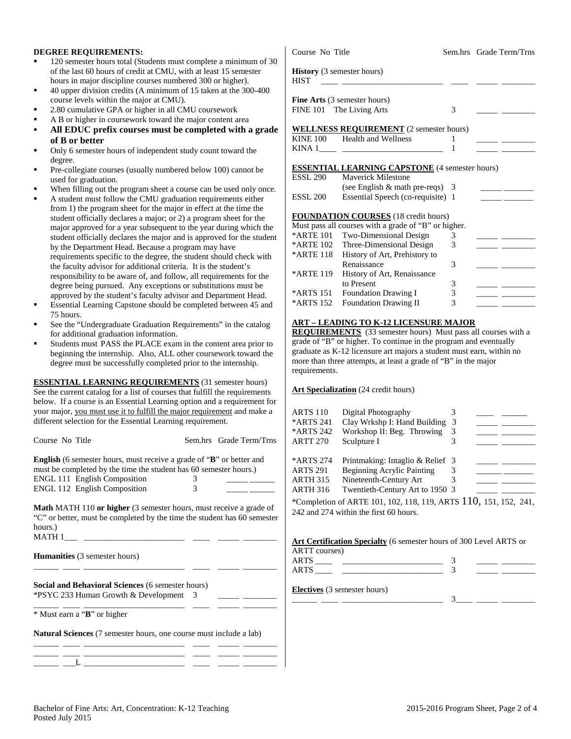#### **DEGREE REQUIREMENTS:**

- 120 semester hours total (Students must complete a minimum of 30 of the last 60 hours of credit at CMU, with at least 15 semester hours in major discipline courses numbered 300 or higher).
- 40 upper division credits (A minimum of 15 taken at the 300-400 course levels within the major at CMU).
- 2.80 cumulative GPA or higher in all CMU coursework
- A B or higher in coursework toward the major content area
- **All EDUC prefix courses must be completed with a grade of B or better**
- Only 6 semester hours of independent study count toward the degree.
- Pre-collegiate courses (usually numbered below 100) cannot be used for graduation.
- When filling out the program sheet a course can be used only once.
- A student must follow the CMU graduation requirements either from 1) the program sheet for the major in effect at the time the student officially declares a major; or 2) a program sheet for the major approved for a year subsequent to the year during which the student officially declares the major and is approved for the student by the Department Head. Because a program may have requirements specific to the degree, the student should check with the faculty advisor for additional criteria. It is the student's responsibility to be aware of, and follow, all requirements for the degree being pursued. Any exceptions or substitutions must be approved by the student's faculty advisor and Department Head.
- Essential Learning Capstone should be completed between 45 and 75 hours.
- See the "Undergraduate Graduation Requirements" in the catalog for additional graduation information.
- Students must PASS the PLACE exam in the content area prior to beginning the internship. Also, ALL other coursework toward the degree must be successfully completed prior to the internship.

**ESSENTIAL LEARNING REQUIREMENTS** (31 semester hours) See the current catalog for a list of courses that fulfill the requirements below. If a course is an Essential Learning option and a requirement for your major, you must use it to fulfill the major requirement and make a different selection for the Essential Learning requirement.

|   | Sem.hrs Grade Term/Trns                                                                                                                                   |
|---|-----------------------------------------------------------------------------------------------------------------------------------------------------------|
| 3 | <b>English</b> (6 semester hours, must receive a grade of " <b>B</b> " or better and<br>must be completed by the time the student has 60 semester hours.) |
|   |                                                                                                                                                           |

**Math** MATH 110 **or higher** (3 semester hours, must receive a grade of "C" or better, must be completed by the time the student has 60 semester hours.) MATH  $1$ 

|  | <b>Humanities</b> (3 semester hours) |  |  |
|--|--------------------------------------|--|--|
|  |                                      |  |  |

**Social and Behavioral Sciences** (6 semester hours) \*PSYC 233 Human Growth & Development 3 \_\_\_\_\_ \_\_\_\_\_\_\_\_

\_\_\_\_\_\_ \_\_\_\_ \_\_\_\_\_\_\_\_\_\_\_\_\_\_\_\_\_\_\_\_\_\_\_\_ \_\_\_\_ \_\_\_\_\_ \_\_\_\_\_\_\_\_ \* Must earn a "**B**" or higher

**Natural Sciences** (7 semester hours, one course must include a lab)

|  | the control of the control of the control of the control of the control of the control of the control of the control of the control of the control of the control of the control of the control of the control of the control |  |  |
|--|-------------------------------------------------------------------------------------------------------------------------------------------------------------------------------------------------------------------------------|--|--|

|                 | Course No Title                                       |        | Sem.hrs Grade Term/Trns                                                                                                                                                                                                              |
|-----------------|-------------------------------------------------------|--------|--------------------------------------------------------------------------------------------------------------------------------------------------------------------------------------------------------------------------------------|
| <b>HIST</b>     | History (3 semester hours)                            |        |                                                                                                                                                                                                                                      |
|                 | <b>Fine Arts</b> (3 semester hours)                   |        |                                                                                                                                                                                                                                      |
|                 | FINE 101 The Living Arts                              | 3      |                                                                                                                                                                                                                                      |
|                 | <b>WELLNESS REQUIREMENT</b> (2 semester hours)        |        |                                                                                                                                                                                                                                      |
|                 | KINE 100 Health and Wellness                          | 1      |                                                                                                                                                                                                                                      |
|                 |                                                       | 1      |                                                                                                                                                                                                                                      |
|                 |                                                       |        |                                                                                                                                                                                                                                      |
|                 | <b>ESSENTIAL LEARNING CAPSTONE</b> (4 semester hours) |        |                                                                                                                                                                                                                                      |
| <b>ESSL 290</b> | Mayerick Milestone                                    |        |                                                                                                                                                                                                                                      |
|                 | (see English & math pre-reqs) 3                       |        | <u> 1989 - John Barnett, film brittisk forsk</u>                                                                                                                                                                                     |
| <b>ESSL 200</b> | Essential Speech (co-requisite) 1                     |        |                                                                                                                                                                                                                                      |
|                 |                                                       |        |                                                                                                                                                                                                                                      |
|                 |                                                       |        |                                                                                                                                                                                                                                      |
|                 | <b>FOUNDATION COURSES</b> (18 credit hours)           |        |                                                                                                                                                                                                                                      |
|                 | Must pass all courses with a grade of "B" or higher.  |        |                                                                                                                                                                                                                                      |
| *ARTE 101       | Two-Dimensional Design                                | 3      | <u> De Carlos de Carlos de Carlos de Carlos de Carlos de Carlos de Carlos de Carlos de Carlos de Carlos de Carlos de Carlos de Carlos de Carlos de Carlos de Carlos de Carlos de Carlos de Carlos de Carlos de Carlos de Carlos </u> |
|                 | *ARTE 102 Three-Dimensional Design                    | 3      |                                                                                                                                                                                                                                      |
| *ARTE 118       |                                                       |        |                                                                                                                                                                                                                                      |
|                 | History of Art, Prehistory to<br>Renaissance          | 3      |                                                                                                                                                                                                                                      |
|                 |                                                       |        |                                                                                                                                                                                                                                      |
| *ARTE 119       | History of Art, Renaissance<br>to Present             |        |                                                                                                                                                                                                                                      |
| *ARTS 151       | Foundation Drawing I                                  | 3<br>3 |                                                                                                                                                                                                                                      |

grade of "B" or higher. To continue in the program and eventually graduate as K-12 licensure art majors a student must earn, within no more than three attempts, at least a grade of "B" in the major requirements.

#### **Art Specialization** (24 credit hours)

| <b>ARTS 110</b><br>*ARTS 241<br>*ARTS 242<br><b>ARTT 270</b>       | Digital Photography<br>Clay Wrkshp I: Hand Building<br>Workshop II: Beg. Throwing<br>Sculpture I                                   | 3<br>3 |  |  |
|--------------------------------------------------------------------|------------------------------------------------------------------------------------------------------------------------------------|--------|--|--|
| *ARTS 274<br><b>ARTS 291</b><br><b>ARTH 315</b><br><b>ARTH 316</b> | Printmaking: Intaglio & Relief 3<br><b>Beginning Acrylic Painting</b><br>Nineteenth-Century Art<br>Twentieth-Century Art to 1950 3 | 3<br>3 |  |  |
|                                                                    | *Completion of ARTE 101, 102, 118, 119, ARTS $110$ , 151, 152, 241,                                                                |        |  |  |

242 and 274 within the first 60 hours.

### **Art Certification Specialty** (6 semester hours of 300 Level ARTS or

| ARTT courses) |  |
|---------------|--|
|               |  |
|               |  |
|               |  |

**Electives** (3 semester hours)

| Electives (5 semester nours) |  |  |
|------------------------------|--|--|
|                              |  |  |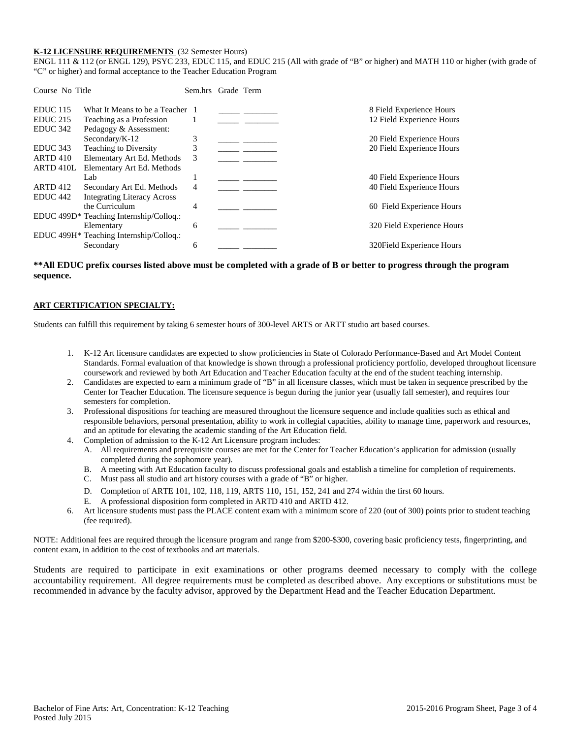#### **K-12 LICENSURE REQUIREMENTS** (32 Semester Hours)

ENGL 111 & 112 (or ENGL 129), PSYC 233, EDUC 115, and EDUC 215 (All with grade of "B" or higher) and MATH 110 or higher (with grade of "C" or higher) and formal acceptance to the Teacher Education Program

| What It Means to be a Teacher 1         | 8 Field Experience Hours   |
|-----------------------------------------|----------------------------|
| Teaching as a Profession                | 12 Field Experience Hours  |
| Pedagogy & Assessment:                  |                            |
| 3                                       | 20 Field Experience Hours  |
| 3                                       | 20 Field Experience Hours  |
| Elementary Art Ed. Methods<br>3         |                            |
| Elementary Art Ed. Methods              |                            |
|                                         | 40 Field Experience Hours  |
| Secondary Art Ed. Methods<br>4          | 40 Field Experience Hours  |
| <b>Integrating Literacy Across</b>      |                            |
| 4                                       | 60 Field Experience Hours  |
| EDUC 499D* Teaching Internship/Colloq.: |                            |
| 6                                       | 320 Field Experience Hours |
| EDUC 499H* Teaching Internship/Colloq.: |                            |
| 6                                       | 320 Field Experience Hours |
|                                         | Sem.hrs Grade Term         |

#### **\*\*All EDUC prefix courses listed above must be completed with a grade of B or better to progress through the program sequence.**

#### **ART CERTIFICATION SPECIALTY:**

Students can fulfill this requirement by taking 6 semester hours of 300-level ARTS or ARTT studio art based courses.

- 1. K-12 Art licensure candidates are expected to show proficiencies in State of Colorado Performance-Based and Art Model Content Standards. Formal evaluation of that knowledge is shown through a professional proficiency portfolio, developed throughout licensure coursework and reviewed by both Art Education and Teacher Education faculty at the end of the student teaching internship.
- 2. Candidates are expected to earn a minimum grade of "B" in all licensure classes, which must be taken in sequence prescribed by the Center for Teacher Education. The licensure sequence is begun during the junior year (usually fall semester), and requires four semesters for completion.
- 3. Professional dispositions for teaching are measured throughout the licensure sequence and include qualities such as ethical and responsible behaviors, personal presentation, ability to work in collegial capacities, ability to manage time, paperwork and resources, and an aptitude for elevating the academic standing of the Art Education field.
- 4. Completion of admission to the K-12 Art Licensure program includes:
	- A. All requirements and prerequisite courses are met for the Center for Teacher Education's application for admission (usually completed during the sophomore year).
	- B. A meeting with Art Education faculty to discuss professional goals and establish a timeline for completion of requirements.
	- C. Must pass all studio and art history courses with a grade of "B" or higher.
	- D. Completion of ARTE 101, 102, 118, 119, ARTS 110, 151, 152, 241 and 274 within the first 60 hours.
	- E. A professional disposition form completed in ARTD 410 and ARTD 412.
- 6. Art licensure students must pass the PLACE content exam with a minimum score of 220 (out of 300) points prior to student teaching (fee required).

NOTE: Additional fees are required through the licensure program and range from \$200-\$300, covering basic proficiency tests, fingerprinting, and content exam, in addition to the cost of textbooks and art materials.

Students are required to participate in exit examinations or other programs deemed necessary to comply with the college accountability requirement. All degree requirements must be completed as described above. Any exceptions or substitutions must be recommended in advance by the faculty advisor, approved by the Department Head and the Teacher Education Department.